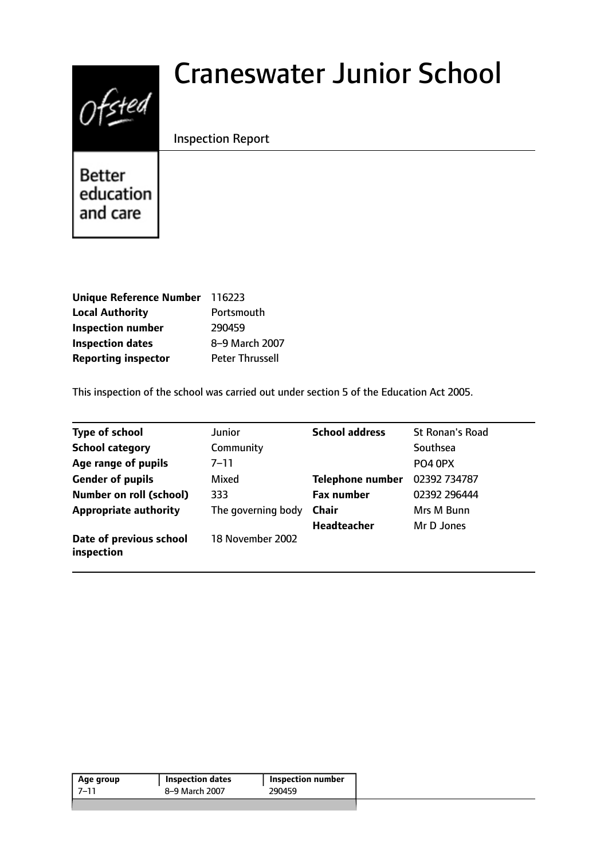# Ofsted

# Craneswater Junior School

Inspection Report

Better education and care

| <b>Unique Reference Number</b> | 116223                 |
|--------------------------------|------------------------|
| <b>Local Authority</b>         | Portsmouth             |
| <b>Inspection number</b>       | 290459                 |
| <b>Inspection dates</b>        | 8-9 March 2007         |
| <b>Reporting inspector</b>     | <b>Peter Thrussell</b> |

This inspection of the school was carried out under section 5 of the Education Act 2005.

| <b>Type of school</b>                 | Junior             | <b>School address</b>   | <b>St Ronan's Road</b> |
|---------------------------------------|--------------------|-------------------------|------------------------|
| <b>School category</b>                | Community          |                         | Southsea               |
| Age range of pupils                   | 7–11               |                         | PO4 0PX                |
| <b>Gender of pupils</b>               | Mixed              | <b>Telephone number</b> | 02392 734787           |
| <b>Number on roll (school)</b>        | 333                | <b>Fax number</b>       | 02392 296444           |
| <b>Appropriate authority</b>          | The governing body | Chair                   | Mrs M Bunn             |
|                                       |                    | <b>Headteacher</b>      | Mr D Jones             |
| Date of previous school<br>inspection | 18 November 2002   |                         |                        |

| Age group | <b>Inspection dates</b> | Inspection number |
|-----------|-------------------------|-------------------|
| -7–11     | 8-9 March 2007          | 290459            |
|           |                         |                   |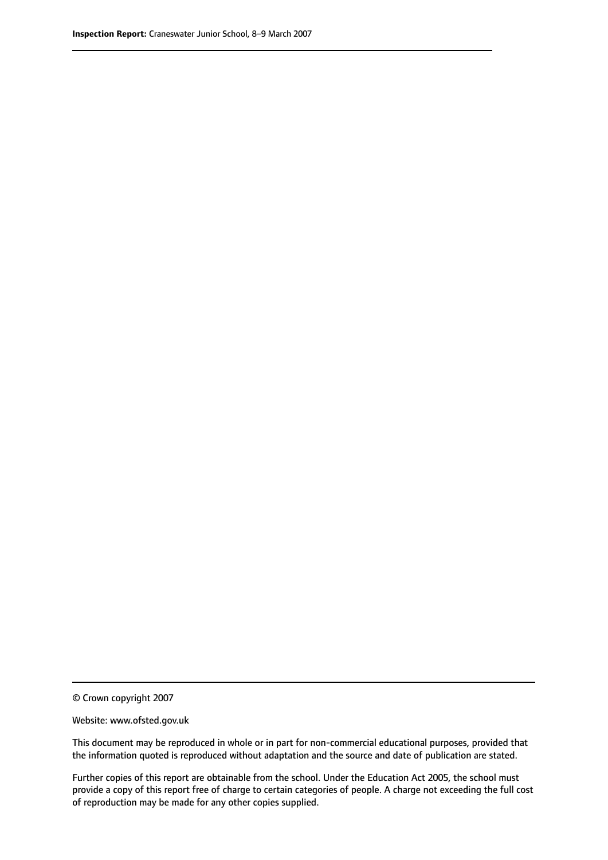© Crown copyright 2007

Website: www.ofsted.gov.uk

This document may be reproduced in whole or in part for non-commercial educational purposes, provided that the information quoted is reproduced without adaptation and the source and date of publication are stated.

Further copies of this report are obtainable from the school. Under the Education Act 2005, the school must provide a copy of this report free of charge to certain categories of people. A charge not exceeding the full cost of reproduction may be made for any other copies supplied.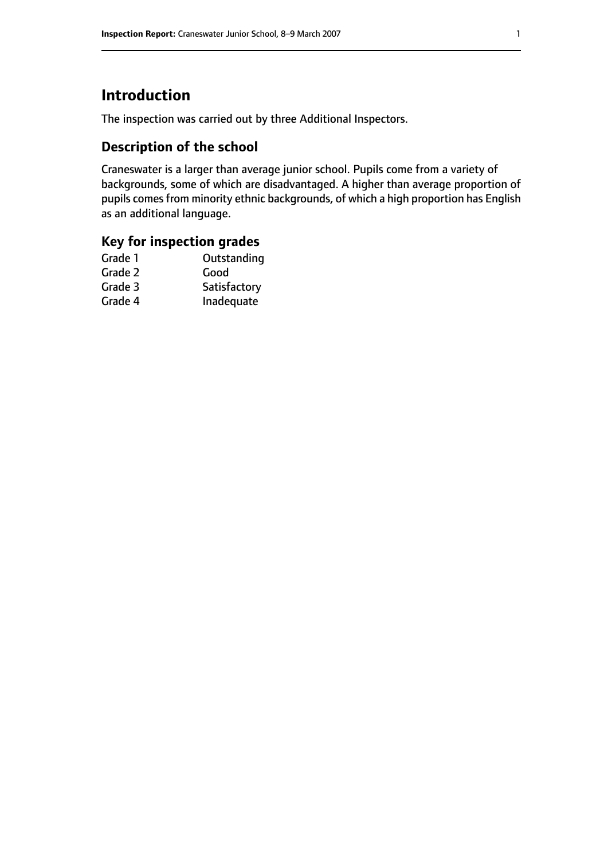# **Introduction**

The inspection was carried out by three Additional Inspectors.

# **Description of the school**

Craneswater is a larger than average junior school. Pupils come from a variety of backgrounds, some of which are disadvantaged. A higher than average proportion of pupils comes from minority ethnic backgrounds, of which a high proportion has English as an additional language.

## **Key for inspection grades**

| Grade 1 | Outstanding  |
|---------|--------------|
| Grade 2 | Good         |
| Grade 3 | Satisfactory |
| Grade 4 | Inadequate   |
|         |              |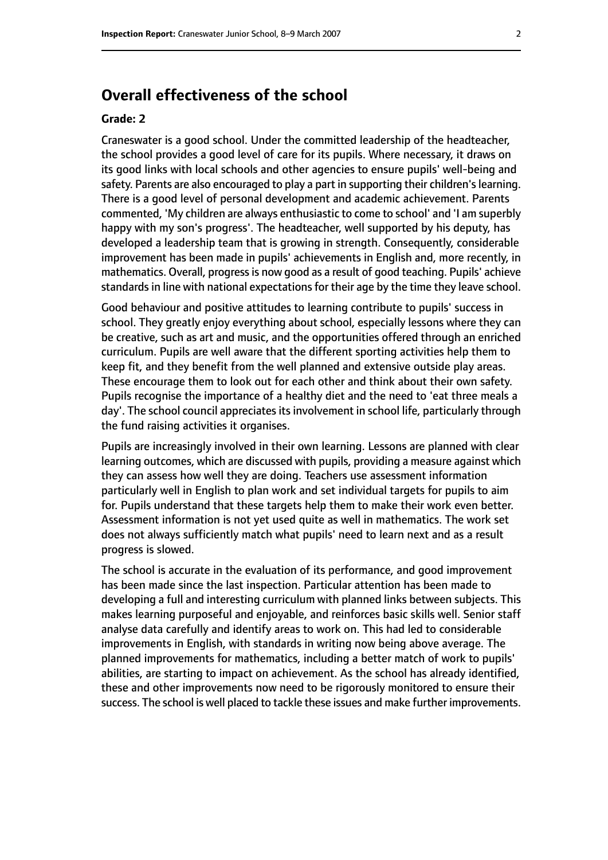# **Overall effectiveness of the school**

#### **Grade: 2**

Craneswater is a good school. Under the committed leadership of the headteacher, the school provides a good level of care for its pupils. Where necessary, it draws on its good links with local schools and other agencies to ensure pupils' well-being and safety. Parents are also encouraged to play a part in supporting their children's learning. There is a good level of personal development and academic achievement. Parents commented, 'My children are always enthusiastic to come to school' and 'I am superbly happy with my son's progress'. The headteacher, well supported by his deputy, has developed a leadership team that is growing in strength. Consequently, considerable improvement has been made in pupils' achievements in English and, more recently, in mathematics. Overall, progress is now good as a result of good teaching. Pupils' achieve standards in line with national expectations for their age by the time they leave school.

Good behaviour and positive attitudes to learning contribute to pupils' success in school. They greatly enjoy everything about school, especially lessons where they can be creative, such as art and music, and the opportunities offered through an enriched curriculum. Pupils are well aware that the different sporting activities help them to keep fit, and they benefit from the well planned and extensive outside play areas. These encourage them to look out for each other and think about their own safety. Pupils recognise the importance of a healthy diet and the need to 'eat three meals a day'. The school council appreciates its involvement in school life, particularly through the fund raising activities it organises.

Pupils are increasingly involved in their own learning. Lessons are planned with clear learning outcomes, which are discussed with pupils, providing a measure against which they can assess how well they are doing. Teachers use assessment information particularly well in English to plan work and set individual targets for pupils to aim for. Pupils understand that these targets help them to make their work even better. Assessment information is not yet used quite as well in mathematics. The work set does not always sufficiently match what pupils' need to learn next and as a result progress is slowed.

The school is accurate in the evaluation of its performance, and good improvement has been made since the last inspection. Particular attention has been made to developing a full and interesting curriculum with planned links between subjects. This makes learning purposeful and enjoyable, and reinforces basic skills well. Senior staff analyse data carefully and identify areas to work on. This had led to considerable improvements in English, with standards in writing now being above average. The planned improvements for mathematics, including a better match of work to pupils' abilities, are starting to impact on achievement. As the school has already identified, these and other improvements now need to be rigorously monitored to ensure their success. The school is well placed to tackle these issues and make further improvements.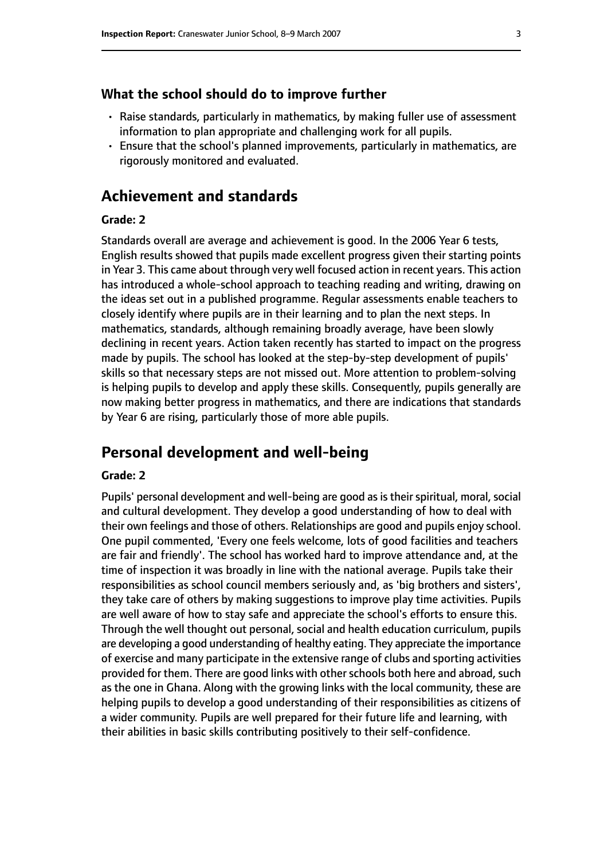#### **What the school should do to improve further**

- Raise standards, particularly in mathematics, by making fuller use of assessment information to plan appropriate and challenging work for all pupils.
- Ensure that the school's planned improvements, particularly in mathematics, are rigorously monitored and evaluated.

# **Achievement and standards**

#### **Grade: 2**

Standards overall are average and achievement is good. In the 2006 Year 6 tests, English results showed that pupils made excellent progress given their starting points in Year 3. This came about through very well focused action in recent years. This action has introduced a whole-school approach to teaching reading and writing, drawing on the ideas set out in a published programme. Regular assessments enable teachers to closely identify where pupils are in their learning and to plan the next steps. In mathematics, standards, although remaining broadly average, have been slowly declining in recent years. Action taken recently has started to impact on the progress made by pupils. The school has looked at the step-by-step development of pupils' skills so that necessary steps are not missed out. More attention to problem-solving is helping pupils to develop and apply these skills. Consequently, pupils generally are now making better progress in mathematics, and there are indications that standards by Year 6 are rising, particularly those of more able pupils.

## **Personal development and well-being**

#### **Grade: 2**

Pupils' personal development and well-being are good as is their spiritual, moral, social and cultural development. They develop a good understanding of how to deal with their own feelings and those of others. Relationships are good and pupils enjoy school. One pupil commented, 'Every one feels welcome, lots of good facilities and teachers are fair and friendly'. The school has worked hard to improve attendance and, at the time of inspection it was broadly in line with the national average. Pupils take their responsibilities as school council members seriously and, as 'big brothers and sisters', they take care of others by making suggestions to improve play time activities. Pupils are well aware of how to stay safe and appreciate the school's efforts to ensure this. Through the well thought out personal, social and health education curriculum, pupils are developing a good understanding of healthy eating. They appreciate the importance of exercise and many participate in the extensive range of clubs and sporting activities provided for them. There are good links with other schools both here and abroad, such as the one in Ghana. Along with the growing links with the local community, these are helping pupils to develop a good understanding of their responsibilities as citizens of a wider community. Pupils are well prepared for their future life and learning, with their abilities in basic skills contributing positively to their self-confidence.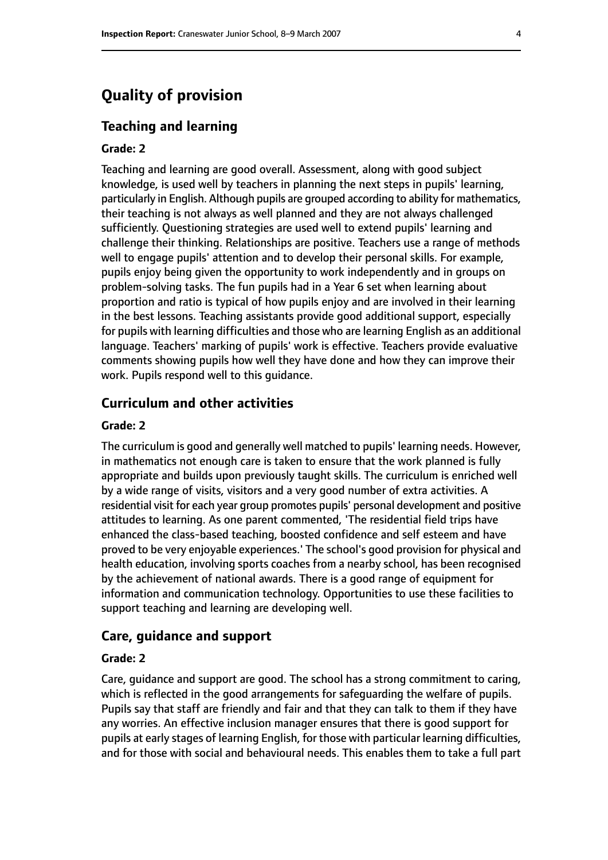# **Quality of provision**

#### **Teaching and learning**

#### **Grade: 2**

Teaching and learning are good overall. Assessment, along with good subject knowledge, is used well by teachers in planning the next steps in pupils' learning, particularly in English. Although pupils are grouped according to ability for mathematics, their teaching is not always as well planned and they are not always challenged sufficiently. Questioning strategies are used well to extend pupils' learning and challenge their thinking. Relationships are positive. Teachers use a range of methods well to engage pupils' attention and to develop their personal skills. For example, pupils enjoy being given the opportunity to work independently and in groups on problem-solving tasks. The fun pupils had in a Year 6 set when learning about proportion and ratio is typical of how pupils enjoy and are involved in their learning in the best lessons. Teaching assistants provide good additional support, especially for pupils with learning difficulties and those who are learning English as an additional language. Teachers' marking of pupils' work is effective. Teachers provide evaluative comments showing pupils how well they have done and how they can improve their work. Pupils respond well to this guidance.

#### **Curriculum and other activities**

#### **Grade: 2**

The curriculum is good and generally well matched to pupils' learning needs. However, in mathematics not enough care is taken to ensure that the work planned is fully appropriate and builds upon previously taught skills. The curriculum is enriched well by a wide range of visits, visitors and a very good number of extra activities. A residential visit for each year group promotes pupils' personal development and positive attitudes to learning. As one parent commented, 'The residential field trips have enhanced the class-based teaching, boosted confidence and self esteem and have proved to be very enjoyable experiences.' The school's good provision for physical and health education, involving sports coaches from a nearby school, has been recognised by the achievement of national awards. There is a good range of equipment for information and communication technology. Opportunities to use these facilities to support teaching and learning are developing well.

#### **Care, guidance and support**

#### **Grade: 2**

Care, guidance and support are good. The school has a strong commitment to caring, which is reflected in the good arrangements for safeguarding the welfare of pupils. Pupils say that staff are friendly and fair and that they can talk to them if they have any worries. An effective inclusion manager ensures that there is good support for pupils at early stages of learning English, for those with particular learning difficulties, and for those with social and behavioural needs. This enables them to take a full part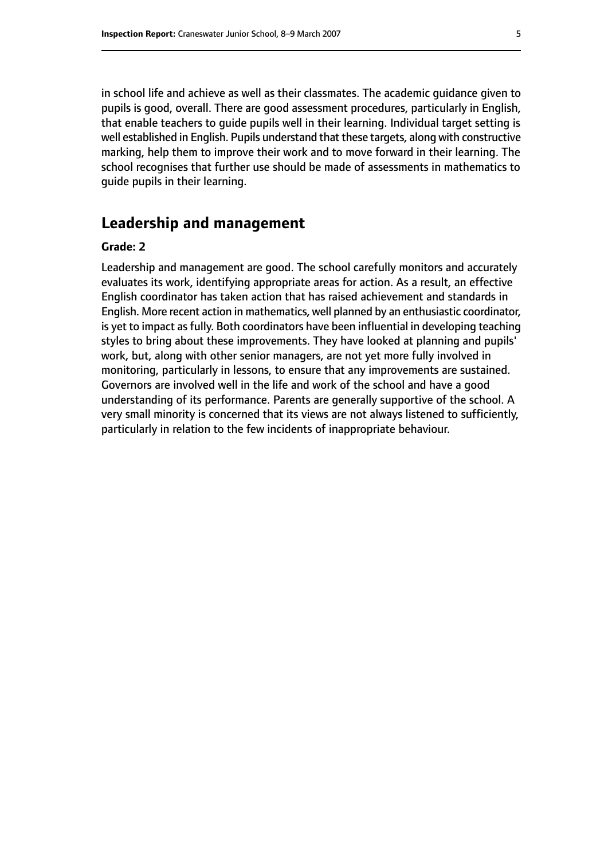in school life and achieve as well as their classmates. The academic guidance given to pupils is good, overall. There are good assessment procedures, particularly in English, that enable teachers to guide pupils well in their learning. Individual target setting is well established in English. Pupils understand that these targets, along with constructive marking, help them to improve their work and to move forward in their learning. The school recognises that further use should be made of assessments in mathematics to guide pupils in their learning.

# **Leadership and management**

#### **Grade: 2**

Leadership and management are good. The school carefully monitors and accurately evaluates its work, identifying appropriate areas for action. As a result, an effective English coordinator has taken action that has raised achievement and standards in English. More recent action in mathematics, well planned by an enthusiastic coordinator, is yet to impact as fully. Both coordinators have been influential in developing teaching styles to bring about these improvements. They have looked at planning and pupils' work, but, along with other senior managers, are not yet more fully involved in monitoring, particularly in lessons, to ensure that any improvements are sustained. Governors are involved well in the life and work of the school and have a good understanding of its performance. Parents are generally supportive of the school. A very small minority is concerned that its views are not always listened to sufficiently, particularly in relation to the few incidents of inappropriate behaviour.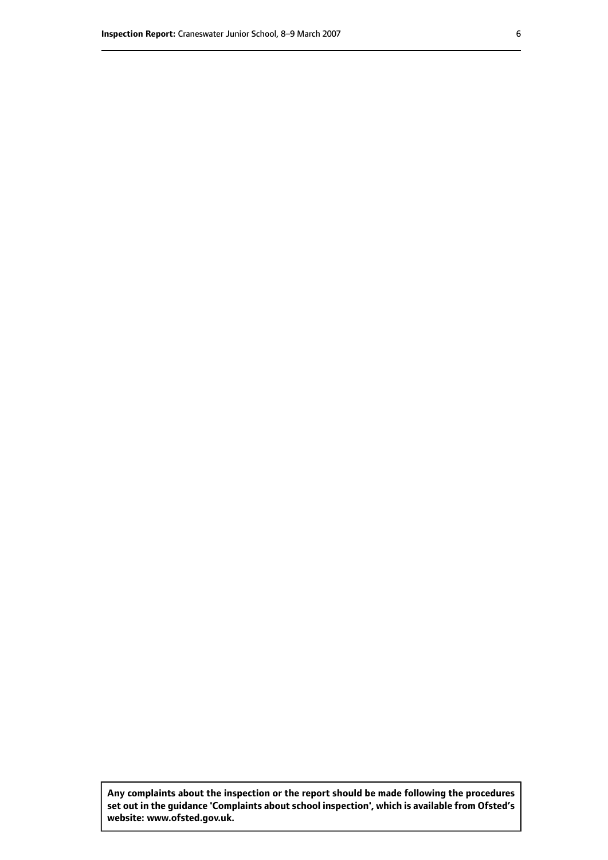**Any complaints about the inspection or the report should be made following the procedures set out inthe guidance 'Complaints about school inspection', whichis available from Ofsted's website: www.ofsted.gov.uk.**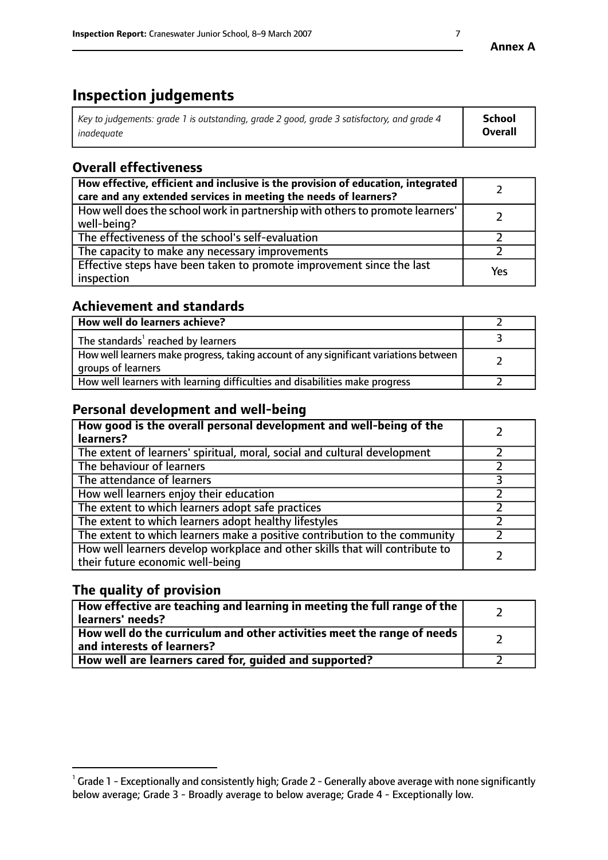# **Inspection judgements**

| $^{\circ}$ Key to judgements: grade 1 is outstanding, grade 2 good, grade 3 satisfactory, and grade 4 $^{\circ}$ | School         |
|------------------------------------------------------------------------------------------------------------------|----------------|
| inadequate                                                                                                       | <b>Overall</b> |

# **Overall effectiveness**

| How effective, efficient and inclusive is the provision of education, integrated<br>care and any extended services in meeting the needs of learners? |     |
|------------------------------------------------------------------------------------------------------------------------------------------------------|-----|
| How well does the school work in partnership with others to promote learners'<br>well-being?                                                         |     |
| The effectiveness of the school's self-evaluation                                                                                                    |     |
| The capacity to make any necessary improvements                                                                                                      |     |
| Effective steps have been taken to promote improvement since the last<br>inspection                                                                  | Yes |

# **Achievement and standards**

| How well do learners achieve?                                                                               |  |
|-------------------------------------------------------------------------------------------------------------|--|
| The standards <sup>1</sup> reached by learners                                                              |  |
| How well learners make progress, taking account of any significant variations between<br>groups of learners |  |
| How well learners with learning difficulties and disabilities make progress                                 |  |

# **Personal development and well-being**

| How good is the overall personal development and well-being of the<br>learners?                                  |  |
|------------------------------------------------------------------------------------------------------------------|--|
| The extent of learners' spiritual, moral, social and cultural development                                        |  |
| The behaviour of learners                                                                                        |  |
| The attendance of learners                                                                                       |  |
| How well learners enjoy their education                                                                          |  |
| The extent to which learners adopt safe practices                                                                |  |
| The extent to which learners adopt healthy lifestyles                                                            |  |
| The extent to which learners make a positive contribution to the community                                       |  |
| How well learners develop workplace and other skills that will contribute to<br>their future economic well-being |  |

# **The quality of provision**

| How effective are teaching and learning in meeting the full range of the<br>learners' needs?            |  |
|---------------------------------------------------------------------------------------------------------|--|
| How well do the curriculum and other activities meet the range of needs  <br>and interests of learners? |  |
| How well are learners cared for, guided and supported?                                                  |  |

 $^1$  Grade 1 - Exceptionally and consistently high; Grade 2 - Generally above average with none significantly below average; Grade 3 - Broadly average to below average; Grade 4 - Exceptionally low.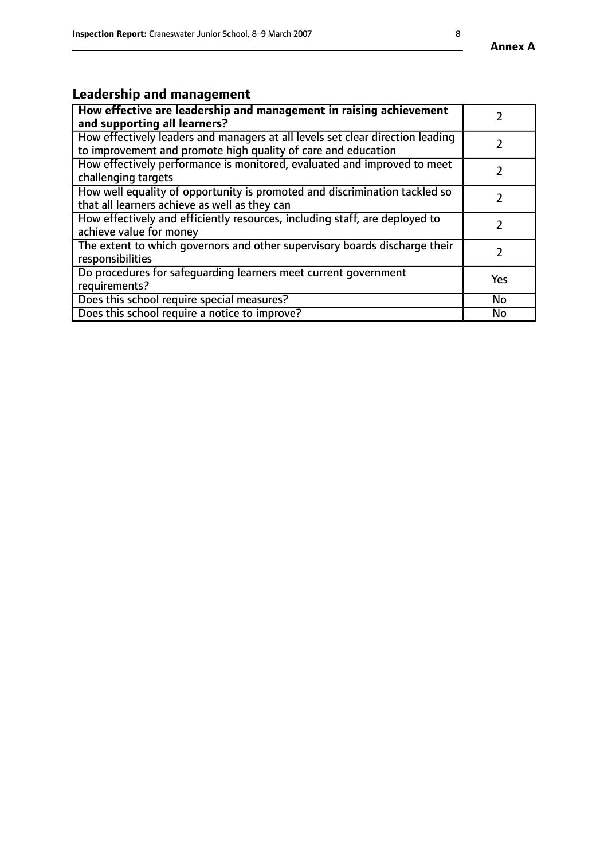#### **Annex A**

# **Leadership and management**

| How effective are leadership and management in raising achievement<br>and supporting all learners?                                              |               |
|-------------------------------------------------------------------------------------------------------------------------------------------------|---------------|
| How effectively leaders and managers at all levels set clear direction leading<br>to improvement and promote high quality of care and education |               |
| How effectively performance is monitored, evaluated and improved to meet<br>challenging targets                                                 | $\mathcal{L}$ |
| How well equality of opportunity is promoted and discrimination tackled so<br>that all learners achieve as well as they can                     |               |
| How effectively and efficiently resources, including staff, are deployed to<br>achieve value for money                                          | $\mathcal{P}$ |
| The extent to which governors and other supervisory boards discharge their<br>responsibilities                                                  |               |
| Do procedures for safequarding learners meet current government<br>requirements?                                                                | Yes           |
| Does this school require special measures?                                                                                                      | No            |
| Does this school require a notice to improve?                                                                                                   | <b>No</b>     |